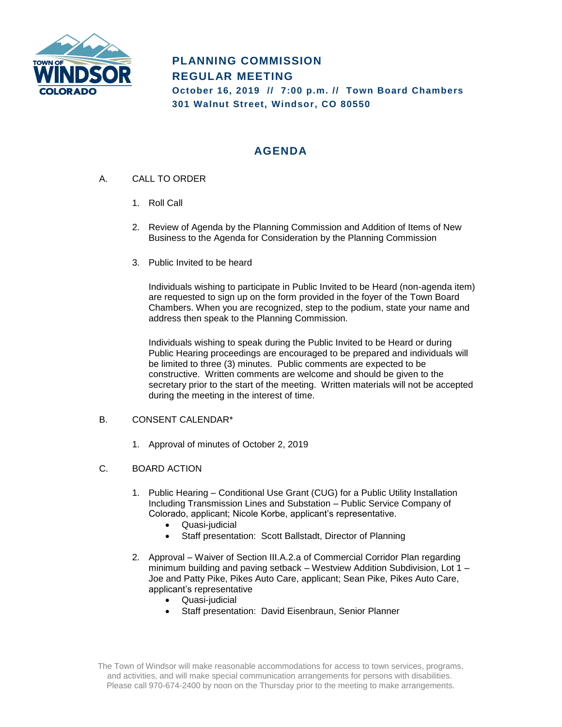

# **PLANNING COMMISSION REGULAR MEETING October 16, 2019 // 7:00 p.m. // Town Board Chambers 301 Walnut Street, Windsor, CO 80550**

# **AGENDA**

- A. CALL TO ORDER
	- 1. Roll Call
	- 2. Review of Agenda by the Planning Commission and Addition of Items of New Business to the Agenda for Consideration by the Planning Commission
	- 3. Public Invited to be heard

Individuals wishing to participate in Public Invited to be Heard (non-agenda item) are requested to sign up on the form provided in the foyer of the Town Board Chambers. When you are recognized, step to the podium, state your name and address then speak to the Planning Commission.

Individuals wishing to speak during the Public Invited to be Heard or during Public Hearing proceedings are encouraged to be prepared and individuals will be limited to three (3) minutes. Public comments are expected to be constructive. Written comments are welcome and should be given to the secretary prior to the start of the meeting. Written materials will not be accepted during the meeting in the interest of time.

#### B. CONSENT CALENDAR\*

1. Approval of minutes of October 2, 2019

#### C. BOARD ACTION

- 1. Public Hearing Conditional Use Grant (CUG) for a Public Utility Installation Including Transmission Lines and Substation – Public Service Company of Colorado, applicant; Nicole Korbe, applicant's representative.
	- Quasi-judicial
	- Staff presentation: Scott Ballstadt, Director of Planning
- 2. Approval Waiver of Section III.A.2.a of Commercial Corridor Plan regarding minimum building and paving setback – Westview Addition Subdivision, Lot 1 – Joe and Patty Pike, Pikes Auto Care, applicant; Sean Pike, Pikes Auto Care, applicant's representative
	- Quasi-judicial
		- Staff presentation: David Eisenbraun, Senior Planner

The Town of Windsor will make reasonable accommodations for access to town services, programs, and activities, and will make special communication arrangements for persons with disabilities. Please call 970-674-2400 by noon on the Thursday prior to the meeting to make arrangements.